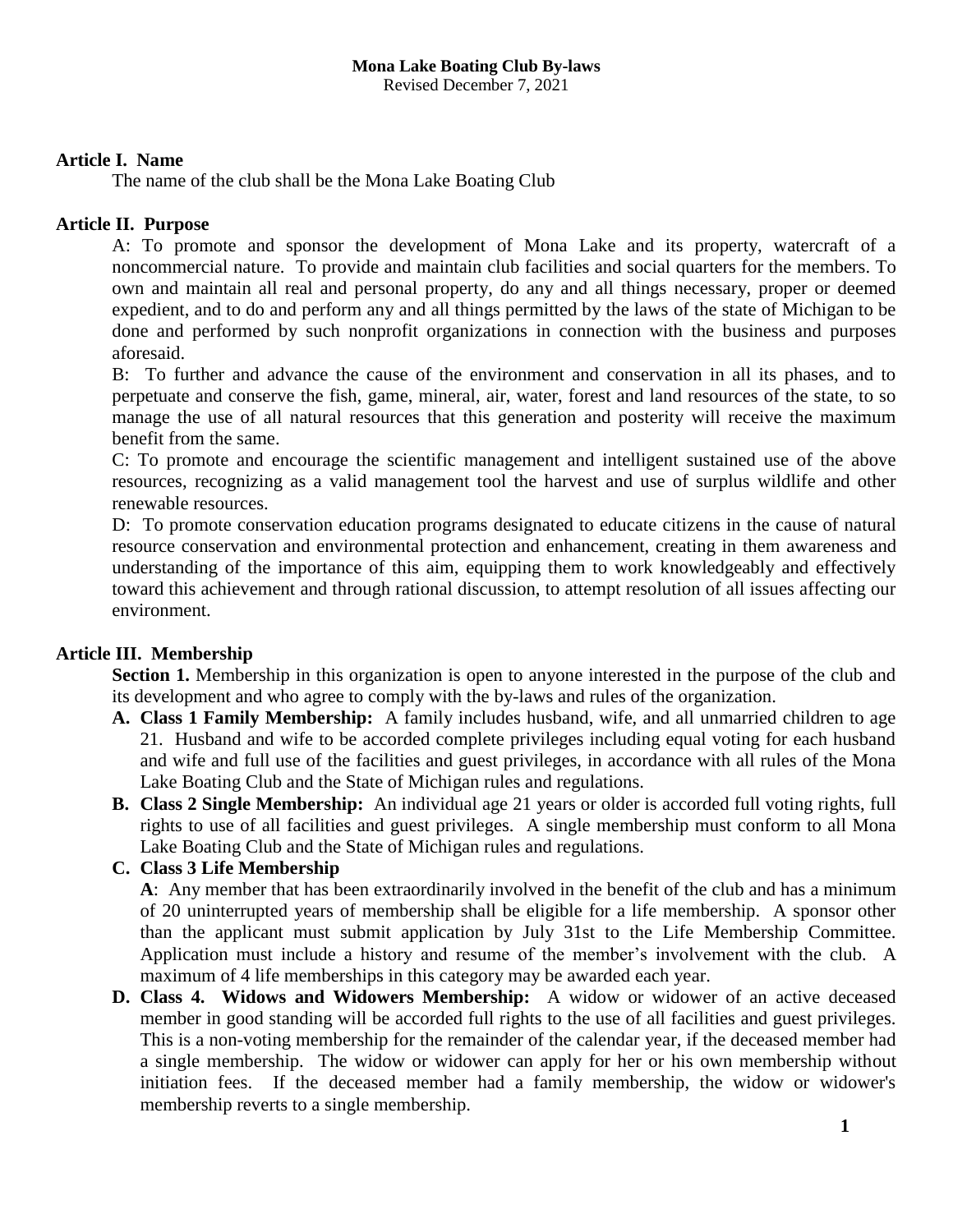Revised December 7, 2021

# **Article I. Name**

The name of the club shall be the Mona Lake Boating Club

# **Article II. Purpose**

A: To promote and sponsor the development of Mona Lake and its property, watercraft of a noncommercial nature. To provide and maintain club facilities and social quarters for the members. To own and maintain all real and personal property, do any and all things necessary, proper or deemed expedient, and to do and perform any and all things permitted by the laws of the state of Michigan to be done and performed by such nonprofit organizations in connection with the business and purposes aforesaid.

B: To further and advance the cause of the environment and conservation in all its phases, and to perpetuate and conserve the fish, game, mineral, air, water, forest and land resources of the state, to so manage the use of all natural resources that this generation and posterity will receive the maximum benefit from the same.

C: To promote and encourage the scientific management and intelligent sustained use of the above resources, recognizing as a valid management tool the harvest and use of surplus wildlife and other renewable resources.

D: To promote conservation education programs designated to educate citizens in the cause of natural resource conservation and environmental protection and enhancement, creating in them awareness and understanding of the importance of this aim, equipping them to work knowledgeably and effectively toward this achievement and through rational discussion, to attempt resolution of all issues affecting our environment.

# **Article III. Membership**

**Section 1.** Membership in this organization is open to anyone interested in the purpose of the club and its development and who agree to comply with the by-laws and rules of the organization.

- **A. Class 1 Family Membership:** A family includes husband, wife, and all unmarried children to age 21. Husband and wife to be accorded complete privileges including equal voting for each husband and wife and full use of the facilities and guest privileges, in accordance with all rules of the Mona Lake Boating Club and the State of Michigan rules and regulations.
- **B. Class 2 Single Membership:** An individual age 21 years or older is accorded full voting rights, full rights to use of all facilities and guest privileges. A single membership must conform to all Mona Lake Boating Club and the State of Michigan rules and regulations.
- **C. Class 3 Life Membership**

**A**: Any member that has been extraordinarily involved in the benefit of the club and has a minimum of 20 uninterrupted years of membership shall be eligible for a life membership. A sponsor other than the applicant must submit application by July 31st to the Life Membership Committee. Application must include a history and resume of the member's involvement with the club. A maximum of 4 life memberships in this category may be awarded each year.

**D. Class 4. Widows and Widowers Membership:** A widow or widower of an active deceased member in good standing will be accorded full rights to the use of all facilities and guest privileges. This is a non-voting membership for the remainder of the calendar year, if the deceased member had a single membership. The widow or widower can apply for her or his own membership without initiation fees. If the deceased member had a family membership, the widow or widower's membership reverts to a single membership.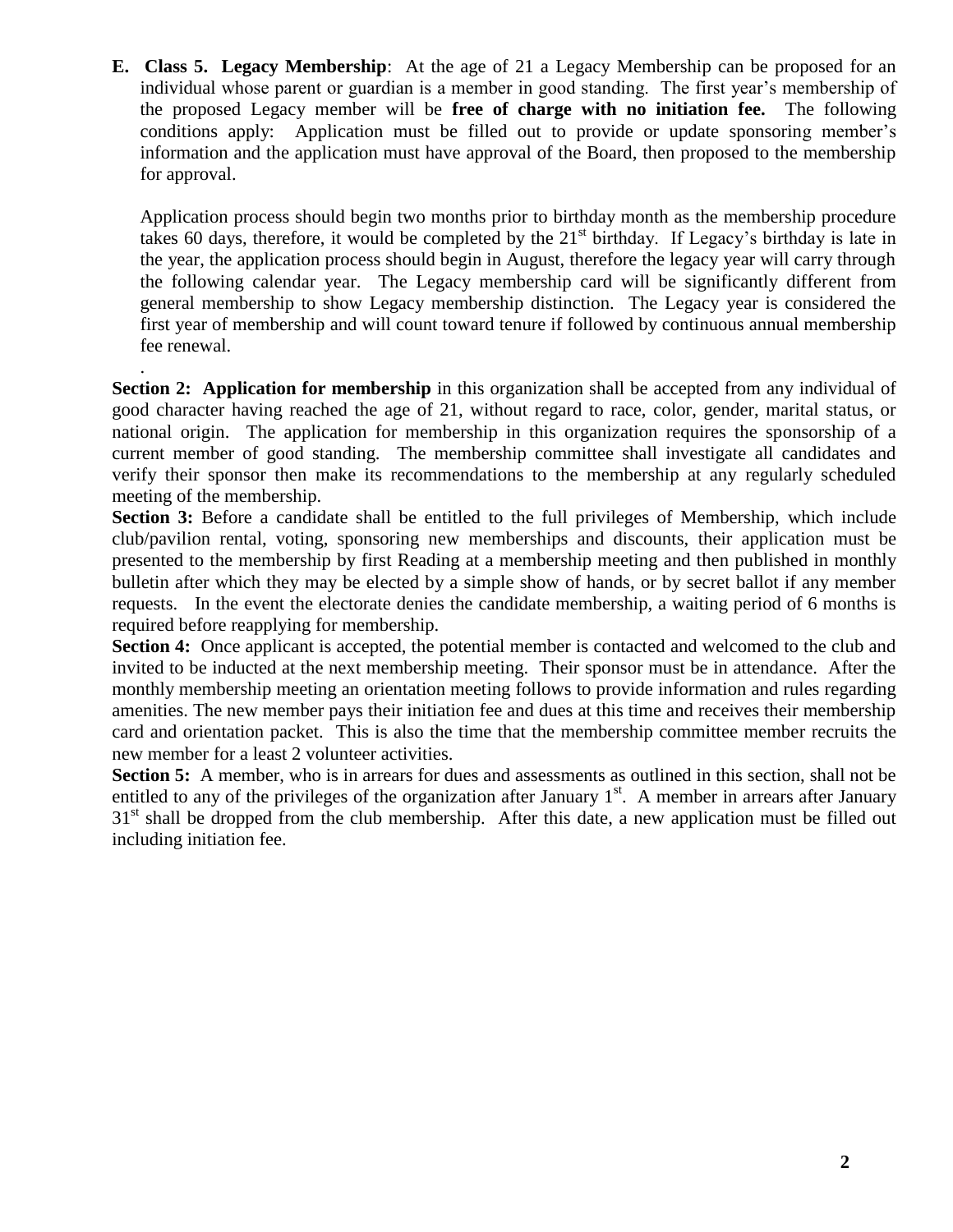**E. Class 5. Legacy Membership**: At the age of 21 a Legacy Membership can be proposed for an individual whose parent or guardian is a member in good standing. The first year's membership of the proposed Legacy member will be **free of charge with no initiation fee.** The following conditions apply: Application must be filled out to provide or update sponsoring member's information and the application must have approval of the Board, then proposed to the membership for approval.

Application process should begin two months prior to birthday month as the membership procedure takes 60 days, therefore, it would be completed by the  $21<sup>st</sup>$  birthday. If Legacy's birthday is late in the year, the application process should begin in August, therefore the legacy year will carry through the following calendar year. The Legacy membership card will be significantly different from general membership to show Legacy membership distinction. The Legacy year is considered the first year of membership and will count toward tenure if followed by continuous annual membership fee renewal.

. **Section 2: Application for membership** in this organization shall be accepted from any individual of good character having reached the age of 21, without regard to race, color, gender, marital status, or national origin. The application for membership in this organization requires the sponsorship of a current member of good standing. The membership committee shall investigate all candidates and verify their sponsor then make its recommendations to the membership at any regularly scheduled meeting of the membership.

**Section 3:** Before a candidate shall be entitled to the full privileges of Membership, which include club/pavilion rental, voting, sponsoring new memberships and discounts, their application must be presented to the membership by first Reading at a membership meeting and then published in monthly bulletin after which they may be elected by a simple show of hands, or by secret ballot if any member requests. In the event the electorate denies the candidate membership, a waiting period of 6 months is required before reapplying for membership.

**Section 4:** Once applicant is accepted, the potential member is contacted and welcomed to the club and invited to be inducted at the next membership meeting. Their sponsor must be in attendance. After the monthly membership meeting an orientation meeting follows to provide information and rules regarding amenities. The new member pays their initiation fee and dues at this time and receives their membership card and orientation packet. This is also the time that the membership committee member recruits the new member for a least 2 volunteer activities.

**Section 5:** A member, who is in arrears for dues and assessments as outlined in this section, shall not be entitled to any of the privileges of the organization after January  $1<sup>st</sup>$ . A member in arrears after January 31<sup>st</sup> shall be dropped from the club membership. After this date, a new application must be filled out including initiation fee.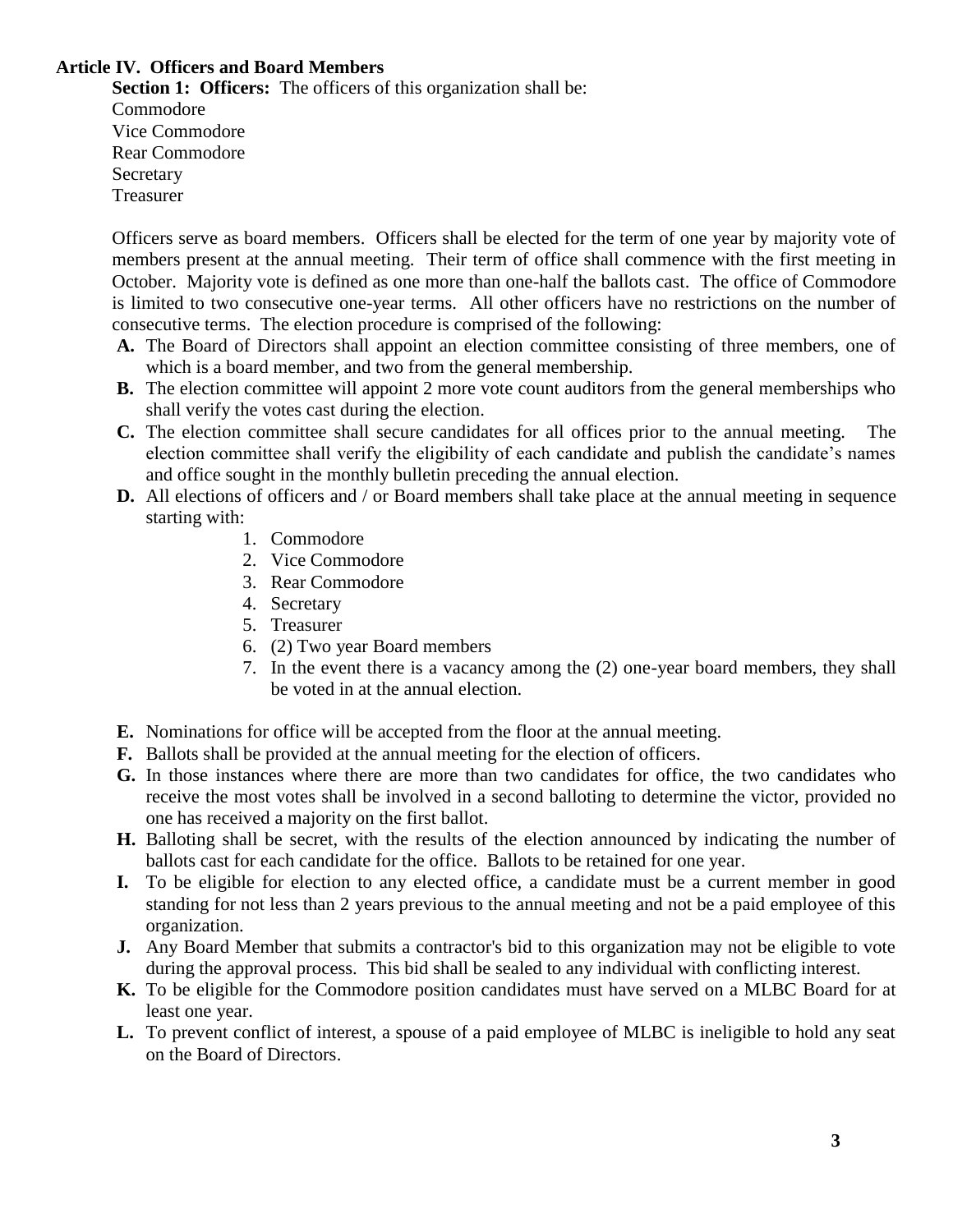## **Article IV. Officers and Board Members**

**Section 1: Officers:** The officers of this organization shall be: Commodore Vice Commodore Rear Commodore Secretary Treasurer

Officers serve as board members. Officers shall be elected for the term of one year by majority vote of members present at the annual meeting. Their term of office shall commence with the first meeting in October. Majority vote is defined as one more than one-half the ballots cast. The office of Commodore is limited to two consecutive one-year terms. All other officers have no restrictions on the number of consecutive terms. The election procedure is comprised of the following:

- **A.** The Board of Directors shall appoint an election committee consisting of three members, one of which is a board member, and two from the general membership.
- **B.** The election committee will appoint 2 more vote count auditors from the general memberships who shall verify the votes cast during the election.
- **C.** The election committee shall secure candidates for all offices prior to the annual meeting. The election committee shall verify the eligibility of each candidate and publish the candidate's names and office sought in the monthly bulletin preceding the annual election.
- **D.** All elections of officers and / or Board members shall take place at the annual meeting in sequence starting with:
	- 1. Commodore
	- 2. Vice Commodore
	- 3. Rear Commodore
	- 4. Secretary
	- 5. Treasurer
	- 6. (2) Two year Board members
	- 7. In the event there is a vacancy among the (2) one-year board members, they shall be voted in at the annual election.
- **E.** Nominations for office will be accepted from the floor at the annual meeting.
- **F.** Ballots shall be provided at the annual meeting for the election of officers.
- **G.** In those instances where there are more than two candidates for office, the two candidates who receive the most votes shall be involved in a second balloting to determine the victor, provided no one has received a majority on the first ballot.
- **H.** Balloting shall be secret, with the results of the election announced by indicating the number of ballots cast for each candidate for the office. Ballots to be retained for one year.
- **I.** To be eligible for election to any elected office, a candidate must be a current member in good standing for not less than 2 years previous to the annual meeting and not be a paid employee of this organization.
- **J.** Any Board Member that submits a contractor's bid to this organization may not be eligible to vote during the approval process. This bid shall be sealed to any individual with conflicting interest.
- **K.** To be eligible for the Commodore position candidates must have served on a MLBC Board for at least one year.
- **L.** To prevent conflict of interest, a spouse of a paid employee of MLBC is ineligible to hold any seat on the Board of Directors.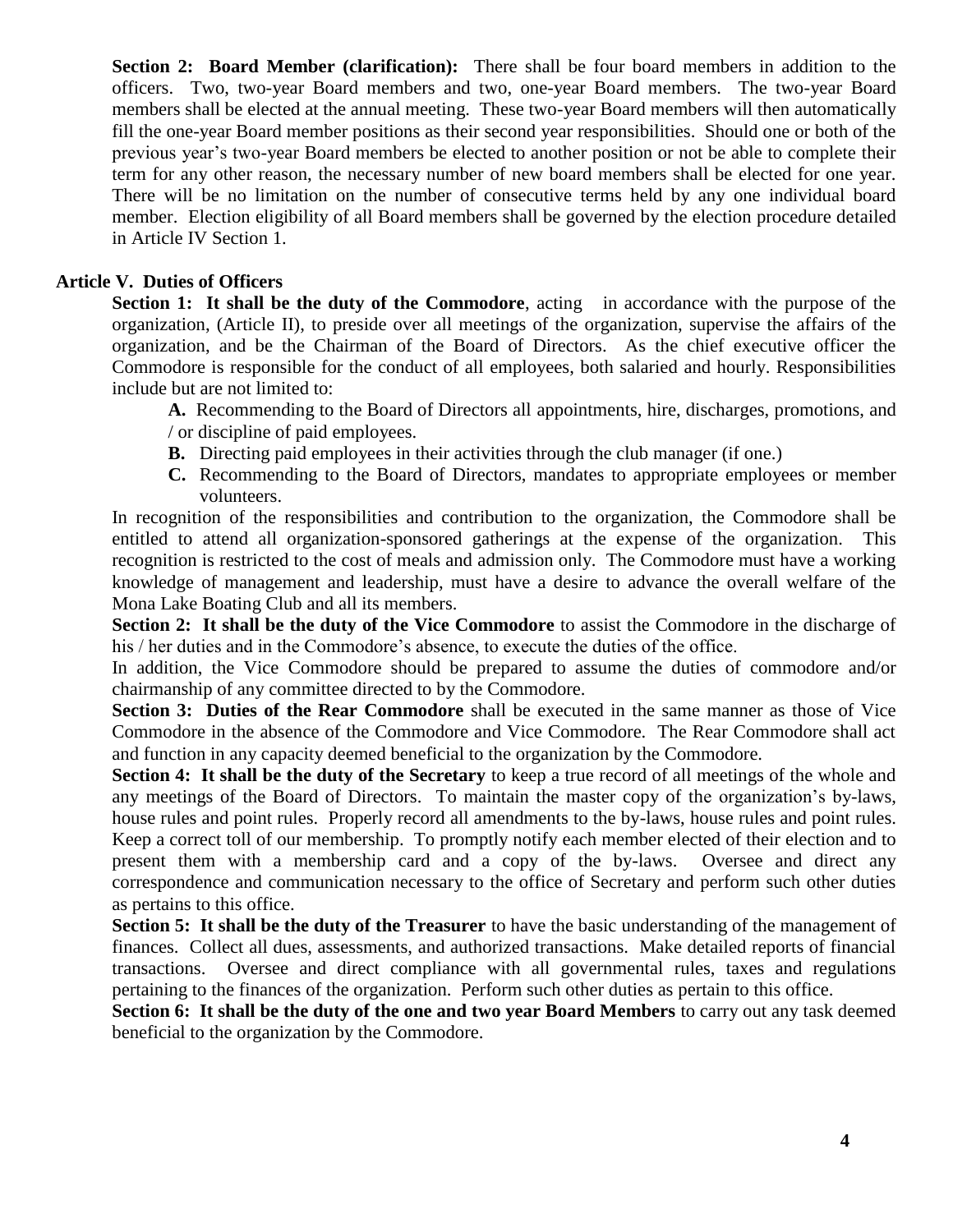**Section 2: Board Member (clarification):** There shall be four board members in addition to the officers. Two, two-year Board members and two, one-year Board members. The two-year Board members shall be elected at the annual meeting. These two-year Board members will then automatically fill the one-year Board member positions as their second year responsibilities. Should one or both of the previous year's two-year Board members be elected to another position or not be able to complete their term for any other reason, the necessary number of new board members shall be elected for one year. There will be no limitation on the number of consecutive terms held by any one individual board member. Election eligibility of all Board members shall be governed by the election procedure detailed in Article IV Section 1.

# **Article V. Duties of Officers**

**Section 1:** It shall be the duty of the Commodore, acting in accordance with the purpose of the organization, (Article II), to preside over all meetings of the organization, supervise the affairs of the organization, and be the Chairman of the Board of Directors. As the chief executive officer the Commodore is responsible for the conduct of all employees, both salaried and hourly. Responsibilities include but are not limited to:

**A.** Recommending to the Board of Directors all appointments, hire, discharges, promotions, and / or discipline of paid employees.

- **B.** Directing paid employees in their activities through the club manager (if one.)
- **C.** Recommending to the Board of Directors, mandates to appropriate employees or member volunteers.

In recognition of the responsibilities and contribution to the organization, the Commodore shall be entitled to attend all organization-sponsored gatherings at the expense of the organization. This recognition is restricted to the cost of meals and admission only. The Commodore must have a working knowledge of management and leadership, must have a desire to advance the overall welfare of the Mona Lake Boating Club and all its members.

**Section 2: It shall be the duty of the Vice Commodore** to assist the Commodore in the discharge of his / her duties and in the Commodore's absence, to execute the duties of the office.

In addition, the Vice Commodore should be prepared to assume the duties of commodore and/or chairmanship of any committee directed to by the Commodore.

**Section 3: Duties of the Rear Commodore** shall be executed in the same manner as those of Vice Commodore in the absence of the Commodore and Vice Commodore. The Rear Commodore shall act and function in any capacity deemed beneficial to the organization by the Commodore.

**Section 4: It shall be the duty of the Secretary** to keep a true record of all meetings of the whole and any meetings of the Board of Directors. To maintain the master copy of the organization's by-laws, house rules and point rules. Properly record all amendments to the by-laws, house rules and point rules. Keep a correct toll of our membership. To promptly notify each member elected of their election and to present them with a membership card and a copy of the by-laws. Oversee and direct any correspondence and communication necessary to the office of Secretary and perform such other duties as pertains to this office.

**Section 5: It shall be the duty of the Treasurer** to have the basic understanding of the management of finances. Collect all dues, assessments, and authorized transactions. Make detailed reports of financial transactions. Oversee and direct compliance with all governmental rules, taxes and regulations pertaining to the finances of the organization. Perform such other duties as pertain to this office.

**Section 6: It shall be the duty of the one and two year Board Members** to carry out any task deemed beneficial to the organization by the Commodore.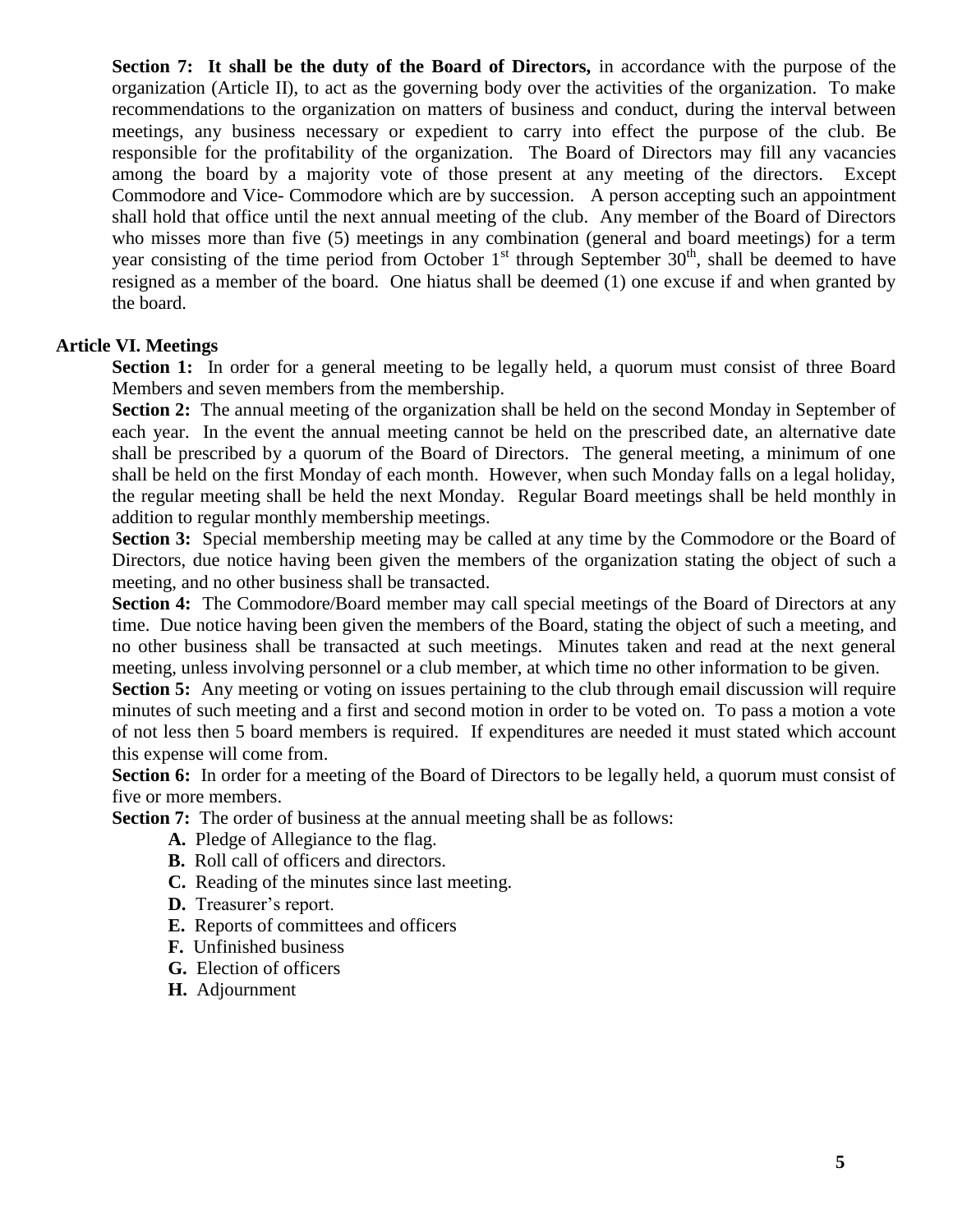**Section 7:** It shall be the duty of the Board of Directors, in accordance with the purpose of the organization (Article II), to act as the governing body over the activities of the organization. To make recommendations to the organization on matters of business and conduct, during the interval between meetings, any business necessary or expedient to carry into effect the purpose of the club. Be responsible for the profitability of the organization. The Board of Directors may fill any vacancies among the board by a majority vote of those present at any meeting of the directors. Except Commodore and Vice- Commodore which are by succession. A person accepting such an appointment shall hold that office until the next annual meeting of the club. Any member of the Board of Directors who misses more than five (5) meetings in any combination (general and board meetings) for a term year consisting of the time period from October  $1<sup>st</sup>$  through September 30<sup>th</sup>, shall be deemed to have resigned as a member of the board. One hiatus shall be deemed (1) one excuse if and when granted by the board.

### **Article VI. Meetings**

Section 1: In order for a general meeting to be legally held, a quorum must consist of three Board Members and seven members from the membership.

**Section 2:** The annual meeting of the organization shall be held on the second Monday in September of each year. In the event the annual meeting cannot be held on the prescribed date, an alternative date shall be prescribed by a quorum of the Board of Directors. The general meeting, a minimum of one shall be held on the first Monday of each month. However, when such Monday falls on a legal holiday, the regular meeting shall be held the next Monday. Regular Board meetings shall be held monthly in addition to regular monthly membership meetings.

**Section 3:** Special membership meeting may be called at any time by the Commodore or the Board of Directors, due notice having been given the members of the organization stating the object of such a meeting, and no other business shall be transacted.

**Section 4:** The Commodore/Board member may call special meetings of the Board of Directors at any time. Due notice having been given the members of the Board, stating the object of such a meeting, and no other business shall be transacted at such meetings. Minutes taken and read at the next general meeting, unless involving personnel or a club member, at which time no other information to be given.

**Section 5:** Any meeting or voting on issues pertaining to the club through email discussion will require minutes of such meeting and a first and second motion in order to be voted on. To pass a motion a vote of not less then 5 board members is required. If expenditures are needed it must stated which account this expense will come from.

**Section 6:** In order for a meeting of the Board of Directors to be legally held, a quorum must consist of five or more members.

**Section 7:** The order of business at the annual meeting shall be as follows:

- **A.** Pledge of Allegiance to the flag.
- **B.** Roll call of officers and directors.
- **C.** Reading of the minutes since last meeting.
- **D.** Treasurer's report.
- **E.** Reports of committees and officers
- **F.** Unfinished business
- **G.** Election of officers
- **H.** Adjournment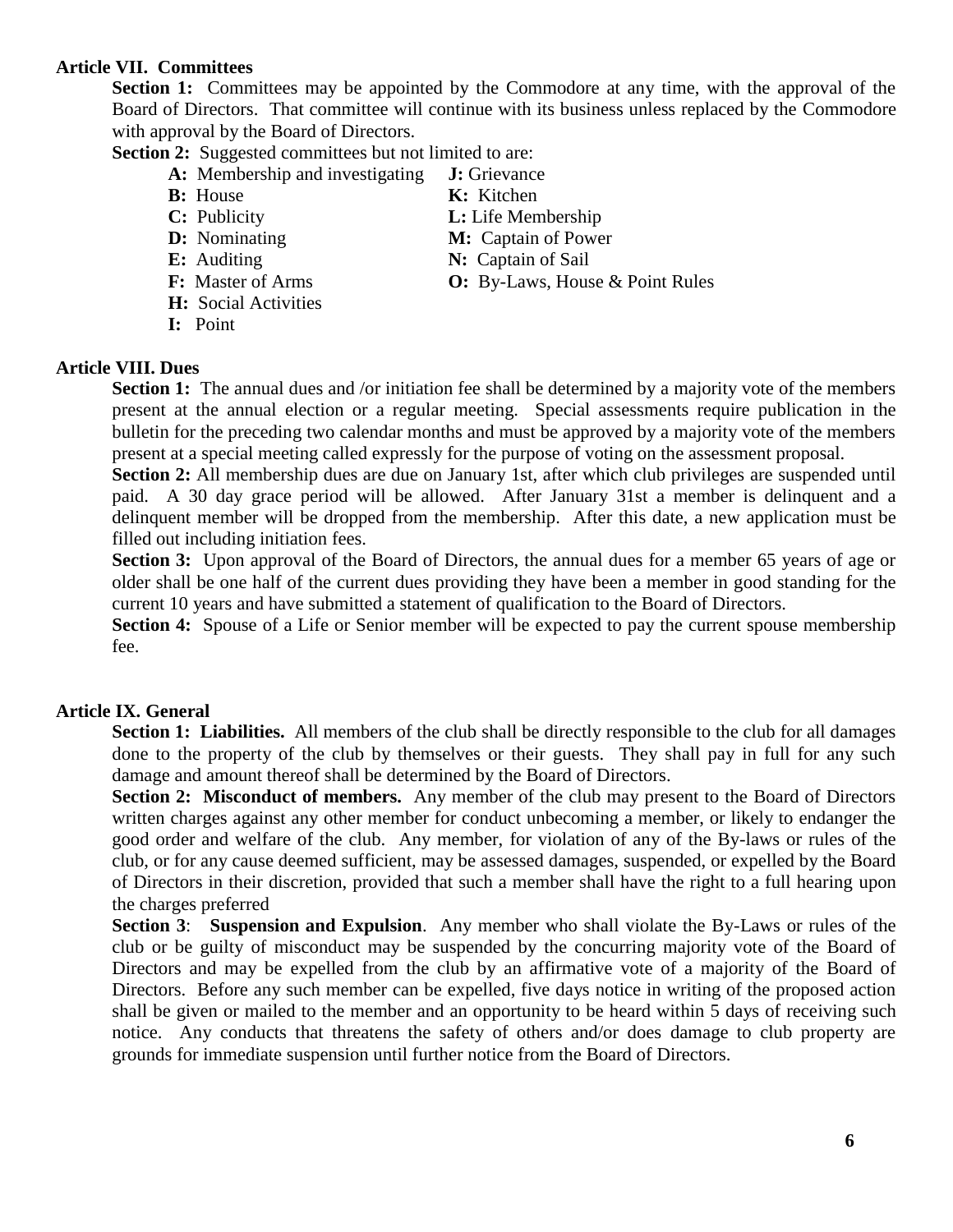### **Article VII. Committees**

**Section 1:** Committees may be appointed by the Commodore at any time, with the approval of the Board of Directors. That committee will continue with its business unless replaced by the Commodore with approval by the Board of Directors.

**Section 2:** Suggested committees but not limited to are:

- **A:** Membership and investigating **J:** Grievance **B:** House **K:** Kitchen
- 
- 
- 
- 
- **F:** Master of Arms **O:** By-Laws, House & Point Rules
- 
- **H:** Social Activities
- **I:** Point

**Article VIII. Dues**

**Section 1:** The annual dues and /or initiation fee shall be determined by a majority vote of the members present at the annual election or a regular meeting. Special assessments require publication in the bulletin for the preceding two calendar months and must be approved by a majority vote of the members

present at a special meeting called expressly for the purpose of voting on the assessment proposal.

**Section 2:** All membership dues are due on January 1st, after which club privileges are suspended until paid. A 30 day grace period will be allowed. After January 31st a member is delinquent and a delinquent member will be dropped from the membership. After this date, a new application must be filled out including initiation fees.

**Section 3:** Upon approval of the Board of Directors, the annual dues for a member 65 years of age or older shall be one half of the current dues providing they have been a member in good standing for the current 10 years and have submitted a statement of qualification to the Board of Directors.

**Section 4:** Spouse of a Life or Senior member will be expected to pay the current spouse membership fee.

## **Article IX. General**

**Section 1: Liabilities.** All members of the club shall be directly responsible to the club for all damages done to the property of the club by themselves or their guests. They shall pay in full for any such damage and amount thereof shall be determined by the Board of Directors.

**Section 2: Misconduct of members.** Any member of the club may present to the Board of Directors written charges against any other member for conduct unbecoming a member, or likely to endanger the good order and welfare of the club. Any member, for violation of any of the By-laws or rules of the club, or for any cause deemed sufficient, may be assessed damages, suspended, or expelled by the Board of Directors in their discretion, provided that such a member shall have the right to a full hearing upon the charges preferred

**Section 3**: **Suspension and Expulsion**. Any member who shall violate the By-Laws or rules of the club or be guilty of misconduct may be suspended by the concurring majority vote of the Board of Directors and may be expelled from the club by an affirmative vote of a majority of the Board of Directors. Before any such member can be expelled, five days notice in writing of the proposed action shall be given or mailed to the member and an opportunity to be heard within 5 days of receiving such notice. Any conducts that threatens the safety of others and/or does damage to club property are grounds for immediate suspension until further notice from the Board of Directors.

**C:** Publicity **L:** Life Membership **D:** Nominating **M:** Captain of Power **E:** Auditing **N:** Captain of Sail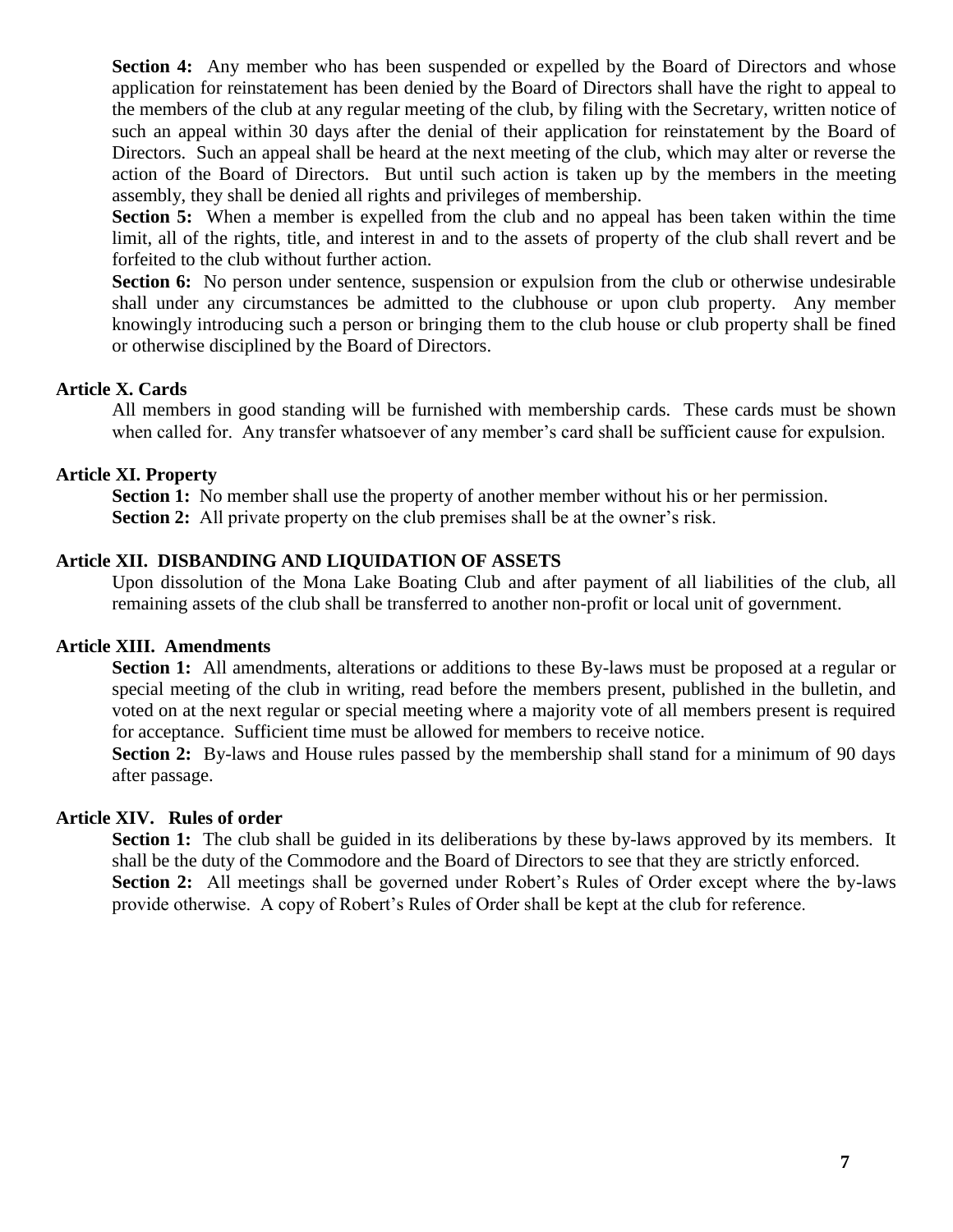**Section 4:** Any member who has been suspended or expelled by the Board of Directors and whose application for reinstatement has been denied by the Board of Directors shall have the right to appeal to the members of the club at any regular meeting of the club, by filing with the Secretary, written notice of such an appeal within 30 days after the denial of their application for reinstatement by the Board of Directors. Such an appeal shall be heard at the next meeting of the club, which may alter or reverse the action of the Board of Directors. But until such action is taken up by the members in the meeting assembly, they shall be denied all rights and privileges of membership.

**Section 5:** When a member is expelled from the club and no appeal has been taken within the time limit, all of the rights, title, and interest in and to the assets of property of the club shall revert and be forfeited to the club without further action.

**Section 6:** No person under sentence, suspension or expulsion from the club or otherwise undesirable shall under any circumstances be admitted to the clubhouse or upon club property. Any member knowingly introducing such a person or bringing them to the club house or club property shall be fined or otherwise disciplined by the Board of Directors.

### **Article X. Cards**

All members in good standing will be furnished with membership cards. These cards must be shown when called for. Any transfer whatsoever of any member's card shall be sufficient cause for expulsion.

### **Article XI. Property**

**Section 1:** No member shall use the property of another member without his or her permission. **Section 2:** All private property on the club premises shall be at the owner's risk.

#### **Article XII. DISBANDING AND LIQUIDATION OF ASSETS**

Upon dissolution of the Mona Lake Boating Club and after payment of all liabilities of the club, all remaining assets of the club shall be transferred to another non-profit or local unit of government.

#### **Article XIII. Amendments**

**Section 1:** All amendments, alterations or additions to these By-laws must be proposed at a regular or special meeting of the club in writing, read before the members present, published in the bulletin, and voted on at the next regular or special meeting where a majority vote of all members present is required for acceptance. Sufficient time must be allowed for members to receive notice.

**Section 2:** By-laws and House rules passed by the membership shall stand for a minimum of 90 days after passage.

#### **Article XIV. Rules of order**

**Section 1:** The club shall be guided in its deliberations by these by-laws approved by its members. It shall be the duty of the Commodore and the Board of Directors to see that they are strictly enforced. **Section 2:** All meetings shall be governed under Robert's Rules of Order except where the by-laws provide otherwise. A copy of Robert's Rules of Order shall be kept at the club for reference.